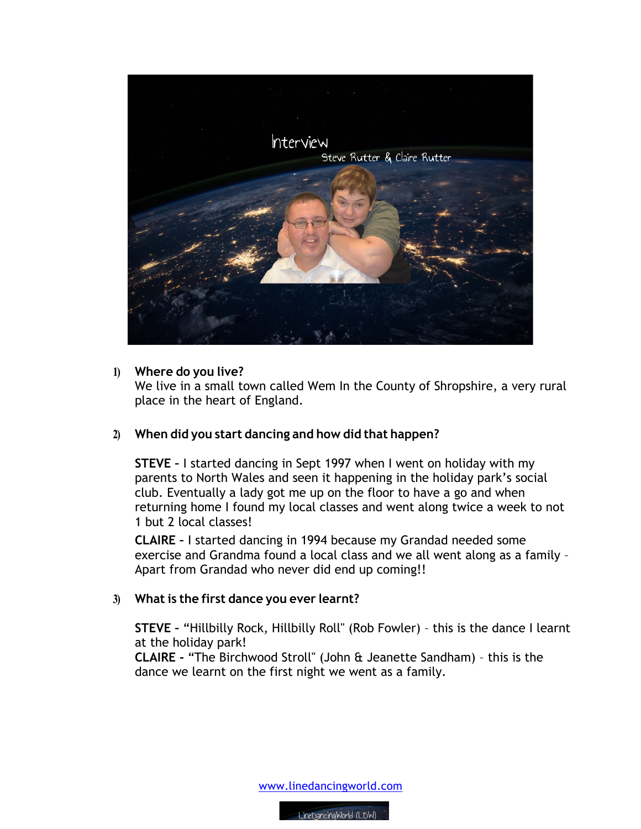

#### **1) Where do you live?**

We live in a small town called Wem In the County of Shropshire, a very rural place in the heart of England.

## **2) When did you start dancing and how did that happen?**

**STEVE –** I started dancing in Sept 1997 when I went on holiday with my parents to North Wales and seen it happening in the holiday park's social club. Eventually a lady got me up on the floor to have a go and when returning home I found my local classes and went along twice a week to not 1 but 2 local classes!

**CLAIRE –** I started dancing in 1994 because my Grandad needed some exercise and Grandma found a local class and we all went along as a family – Apart from Grandad who never did end up coming!!

## **3) What is the first dance you ever learnt?**

**STEVE –** "Hillbilly Rock, Hillbilly Roll" (Rob Fowler) – this is the dance I learnt at the holiday park!

**CLAIRE -** "The Birchwood Stroll" (John & Jeanette Sandham) – this is the dance we learnt on the first night we went as a family.

www.linedancingworld.com

LineDancingWorld (LDW)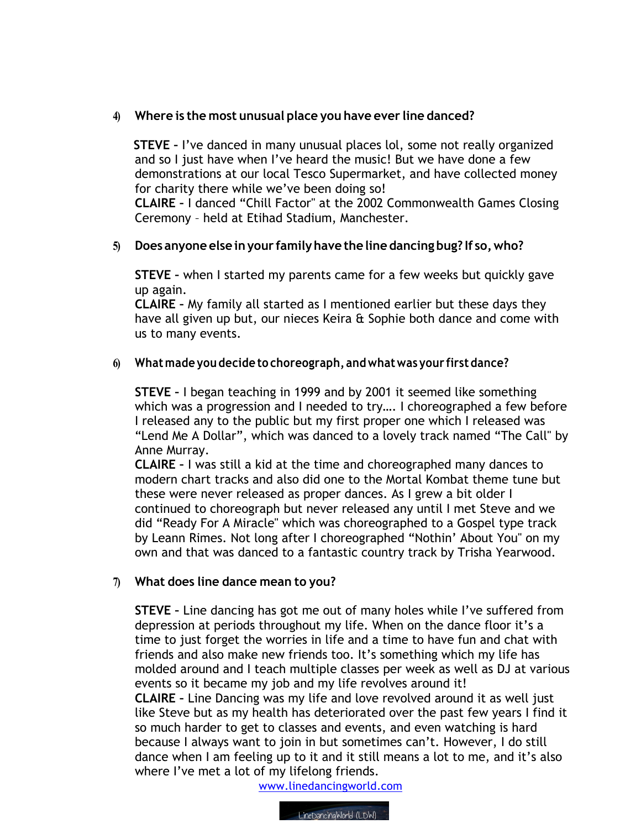# **4) Where is the most unusual place you have ever line danced?**

 **STEVE –** I've danced in many unusual places lol, some not really organized and so I just have when I've heard the music! But we have done a few demonstrations at our local Tesco Supermarket, and have collected money for charity there while we've been doing so!

**CLAIRE –** I danced "Chill Factor" at the 2002 Commonwealth Games Closing Ceremony – held at Etihad Stadium, Manchester.

## **5) Does anyone else inyour familyhave the line dancing bug? If so,who?**

**STEVE –** when I started my parents came for a few weeks but quickly gave up again.

**CLAIRE –** My family all started as I mentioned earlier but these days they have all given up but, our nieces Keira & Sophie both dance and come with us to many events.

## **6) Whatmade you decide to choreograph, andwhatwas your firstdance?**

**STEVE –** I began teaching in 1999 and by 2001 it seemed like something which was a progression and I needed to try…. I choreographed a few before I released any to the public but my first proper one which I released was "Lend Me A Dollar", which was danced to a lovely track named "The Call" by Anne Murray.

**CLAIRE –** I was still a kid at the time and choreographed many dances to modern chart tracks and also did one to the Mortal Kombat theme tune but these were never released as proper dances. As I grew a bit older I continued to choreograph but never released any until I met Steve and we did "Ready For A Miracle" which was choreographed to a Gospel type track by Leann Rimes. Not long after I choreographed "Nothin' About You" on my own and that was danced to a fantastic country track by Trisha Yearwood.

## **7) What does line dance mean to you?**

**STEVE –** Line dancing has got me out of many holes while I've suffered from depression at periods throughout my life. When on the dance floor it's a time to just forget the worries in life and a time to have fun and chat with friends and also make new friends too. It's something which my life has molded around and I teach multiple classes per week as well as DJ at various events so it became my job and my life revolves around it!

**CLAIRE –** Line Dancing was my life and love revolved around it as well just like Steve but as my health has deteriorated over the past few years I find it so much harder to get to classes and events, and even watching is hard because I always want to join in but sometimes can't. However, I do still dance when I am feeling up to it and it still means a lot to me, and it's also where I've met a lot of my lifelong friends.

www.linedancingworld.com